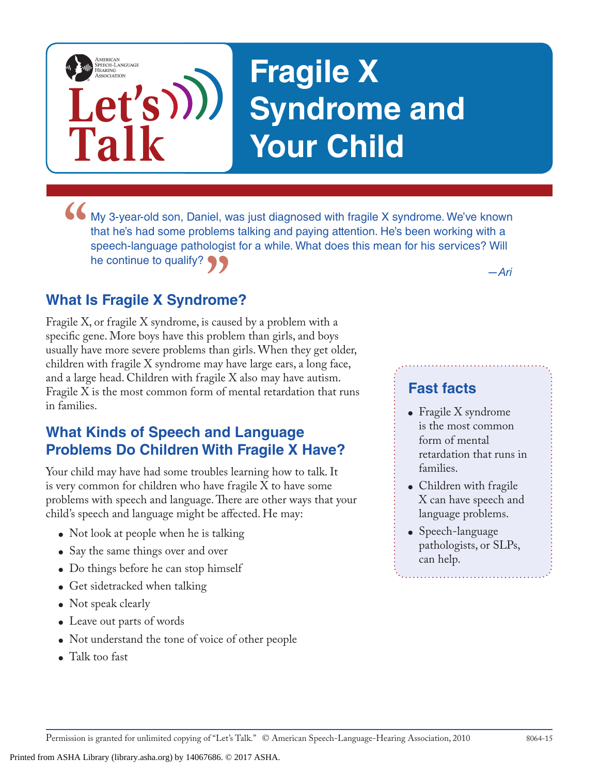# **Fragile X Syndrome and Your Child**

• My 3-year-old son, Daniel, was just diagnosed with fragile X syndrome. We've known that he's had some problems talking and paying attention. He's been working with a speech-language pathologist for a while. What does thi that he's had some problems talking and paying attention. He's been working with a speech-language pathologist for a while. What does this mean for his services? Will he continue to qualify?

# **What Is Fragile X Syndrome?**

**Let's**

**Talk**

AMERICAN<br>SPEECH-LANGUAGE-<br>HEARING<br>ASSOCIATION

**"** *—Ari*<br>**"OMe?**<br>s caused by a problem with a Fragile X, or fragile X syndrome, is caused by a problem with a specific gene. More boys have this problem than girls, and boys usually have more severe problems than girls. When they get older, children with fragile X syndrome may have large ears, a long face, and a large head. Children with fragile X also may have autism. Fragile X is the most common form of mental retardation that runs in families.

# **What Kinds of Speech and Language Problems Do Children With Fragile X Have?**

Your child may have had some troubles learning how to talk. It is very common for children who have fragile X to have some problems with speech and language. There are other ways that your child's speech and language might be affected. He may:

- Not look at people when he is talking
- Say the same things over and over
- Do things before he can stop himself
- Get sidetracked when talking
- Not speak clearly
- Leave out parts of words
- Not understand the tone of voice of other people
- Talk too fast

## **Fast facts**

- Fragile X syndrome is the most common form of mental retardation that runs in families.
- Children with fragile X can have speech and language problems.
- Speech-language pathologists, or SLPs, can help.

Permission is granted for unlimited copying of "Let's Talk." © American Speech-Language-Hearing Association, 2010 8064-15

Printed from ASHA Library (library.asha.org) by 14067686. © 2017 ASHA.